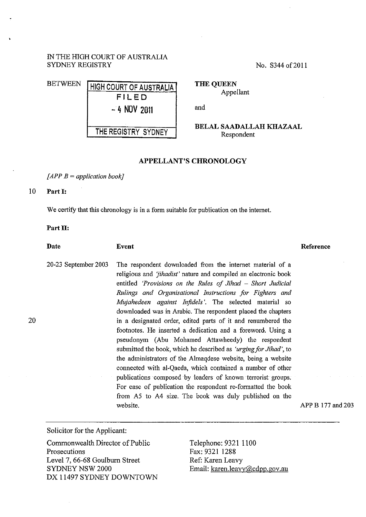## IN THE HIGH COURT OF AUSTRALIA SYDNEY REGISTRY

No. S344 of 2011

| <b>BETWEEN</b> | <b>HIGH COURT OF AUSTRALIA</b> |
|----------------|--------------------------------|
|                | FILED                          |
|                | $-4$ NOV 2011                  |
|                | THE REGISTRY SYDNEY            |

**THE QUEEN**  Appellant

and

**BELAL SAADALLAH KHAZAAL**  Respondent

## **APPELLANT'S CHRONOLOGY**

*[APP B =application book]* 

## **10 Part 1:**

20

We certify that this chronology is in a form suitable for publication on the internet.

## Part II:

**Date Event**  20-23 September 2003 The respondent downloaded from the internet material of a religious and *'jihadist'* nature and compiled an electronic book entitled *'Provisions on the Rules of Jihad* - *Short Judicial Rulings and Organisational Instructions for Fighters and Mujahedeen against Infidels'.* The selected material so downloaded was in Arabic. The respondent placed the chapters in a designated order, edited parts of it and renumbered the footnotes. He inserted a dedication and a foreword. Using a pseudonym (Abu Mohamed Attawheedy) the respondent submitted the book, which he described as *'urging for Jihad',* to the administrators of the Almaqdese website, being a website connected with al-Qaeda, which contained a number of other publications composed by leaders of known terrorist groups. For ease of publication the respondent re-formatted the book from *AS* to A4 size. The book was duly published on the **Reference** 

APP B 177 and 203

Solicitor for the Applicant:

Commonwealth Director of Public Prosecutions Level 7, 66-68 Goulburn Street SYDNEY NSW 2000 DX 11497 SYDNEY DOWNTOWN

website.

Telephone: 9321 1100 Fax: 9321 1288 Ref: Karen Leavy Email: karen.leavy@cdpp.gov.au